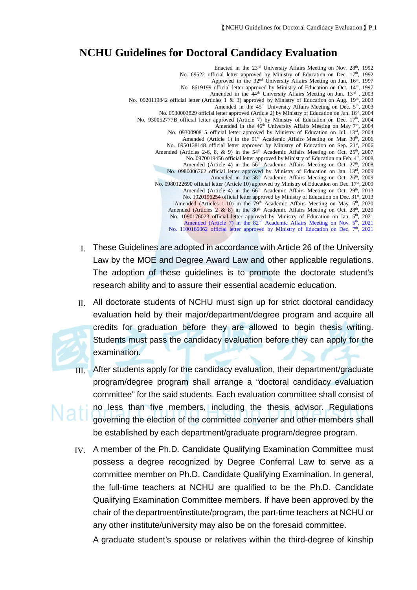## **NCHU Guidelines for Doctoral Candidacy Evaluation**

Enacted in the 23<sup>rd</sup> University Affairs Meeting on Nov. 28<sup>th</sup>, 1992 No. 69522 official letter approved by Ministry of Education on Dec. 17<sup>th</sup>, 1992 Approved in the  $32<sup>nd</sup>$  University Affairs Meeting on Jun.  $16<sup>th</sup>$ , 1997 No. 8619199 official letter approved by Ministry of Education on Oct. 14th, 1997 Amended in the 44<sup>th</sup> University Affairs Meeting on Jun. 13<sup>rd</sup>, 2003 No. 0920119842 official letter (Articles 1 & 3) approved by Ministry of Education on Aug. 19th, 2003 Amended in the 45<sup>th</sup> University Affairs Meeting on Dec. 5<sup>th</sup>, 2003 No. 0930003829 official letter approved (Article 2) by Ministry of Education on Jan. 16<sup>th</sup>, 2004 No. 930052777B official letter approved (Article 7) by Ministry of Education on Dec. 17th, 2004 Amended in the  $46<sup>th</sup>$  University Affairs Meeting on May 7<sup>th</sup>, 2004 No. 0930090815 official letter approved by Ministry of Education on Jul. 13rd, 2004 Amended (Article 1) in the 51<sup>st</sup> Academic Affairs Meeting on Mar. 30<sup>th</sup>, 2006 No. 0950138148 official letter approved by Ministry of Education on Sep. 21st, 2006 Amended (Articles 2-6, 8, & 9) in the  $54<sup>th</sup>$  Academic Affairs Meeting on Oct. 25<sup>th</sup>, 2007 No. 0970019456 official letter approved by Ministry of Education on Feb. 4th, 2008 Amended (Article 4) in the  $56<sup>th</sup>$  Academic Affairs Meeting on Oct.  $27<sup>th</sup>$ , 2008 No. 0980006762 official letter approved by Ministry of Education on Jan. 13rd, 2009 Amended in the 58<sup>th</sup> Academic Affairs Meeting on Oct. 26<sup>th</sup>, 2009 No. 0980122690 official letter (Article 10) approved by Ministry of Education on Dec. 17<sup>th</sup>, 2009 Amended (Article 4) in the  $66<sup>th</sup>$  Academic Affairs Meeting on Oct. 29<sup>th</sup>, 2013 No. 1020196254 official letter approved by Ministry of Education on Dec. 31st, 2013 Amended (Articles 1-10) in the 79<sup>th</sup> Academic Affairs Meeting on May. 5<sup>th</sup>, 2020 Amended (Articles  $2 \& 8$ ) in the  $80<sup>th</sup>$  Academic Affairs Meeting on Oct. 28<sup>th</sup>, 2020 No. 1090176023 official letter approved by Ministry of Education on Jan. 5<sup>th</sup>, 2021 Amended (Article 7) in the  $82<sup>nd</sup>$  Academic Affairs Meeting on Nov.  $5<sup>th</sup>$ , 2021 No. 1100166062 official letter approved by Ministry of Education on Dec. 7<sup>th</sup>, 2021

- Ⅰ. These Guidelines are adopted in accordance with Article 26 of the University Law by the MOE and Degree Award Law and other applicable regulations. The adoption of these guidelines is to promote the doctorate student's research ability and to assure their essential academic education.
- Ⅱ. All doctorate students of NCHU must sign up for strict doctoral candidacy evaluation held by their major/department/degree program and acquire all credits for graduation before they are allowed to begin thesis writing. Students must pass the candidacy evaluation before they can apply for the examination.
- Ⅲ. After students apply for the candidacy evaluation, their department/graduate program/degree program shall arrange a "doctoral candidacy evaluation committee" for the said students. Each evaluation committee shall consist of no less than five members, including the thesis advisor. Regulations governing the election of the committee convener and other members shall be established by each department/graduate program/degree program.
- Ⅳ. A member of the Ph.D. Candidate Qualifying Examination Committee must possess a degree recognized by Degree Conferral Law to serve as a committee member on Ph.D. Candidate Qualifying Examination. In general, the full-time teachers at NCHU are qualified to be the Ph.D. Candidate Qualifying Examination Committee members. If have been approved by the chair of the department/institute/program, the part-time teachers at NCHU or any other institute/university may also be on the foresaid committee.

A graduate student's spouse or relatives within the third-degree of kinship